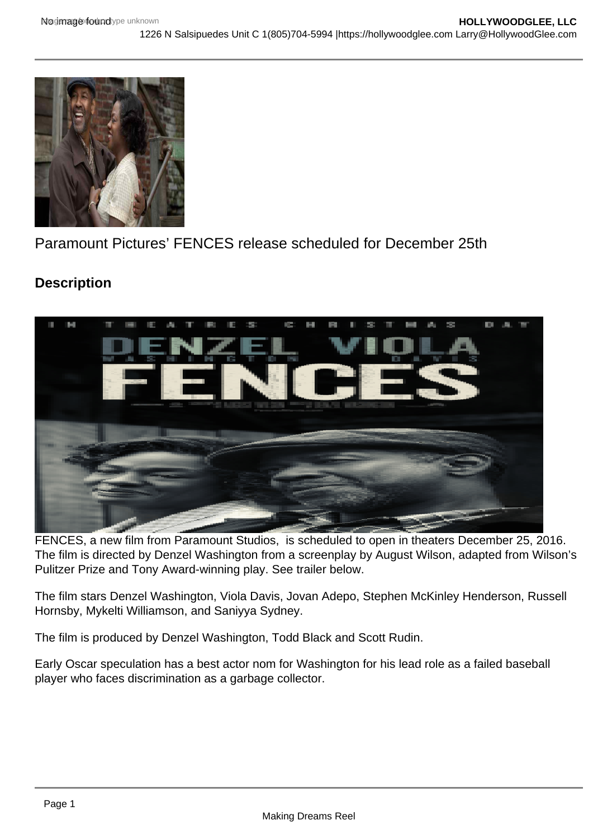

Paramount Pictures' FENCES release scheduled for December 25th

# **Description**



FENCES, a new film from Paramount Studios, is scheduled to open in theaters December 25, 2016. The film is directed by Denzel Washington from a screenplay by August Wilson, adapted from Wilson's Pulitzer Prize and Tony Award-winning play. See trailer below.

The film stars Denzel Washington, Viola Davis, Jovan Adepo, Stephen McKinley Henderson, Russell Hornsby, Mykelti Williamson, and Saniyya Sydney.

The film is produced by Denzel Washington, Todd Black and Scott Rudin.

Early Oscar speculation has a best actor nom for Washington for his lead role as a failed baseball player who faces discrimination as a garbage collector.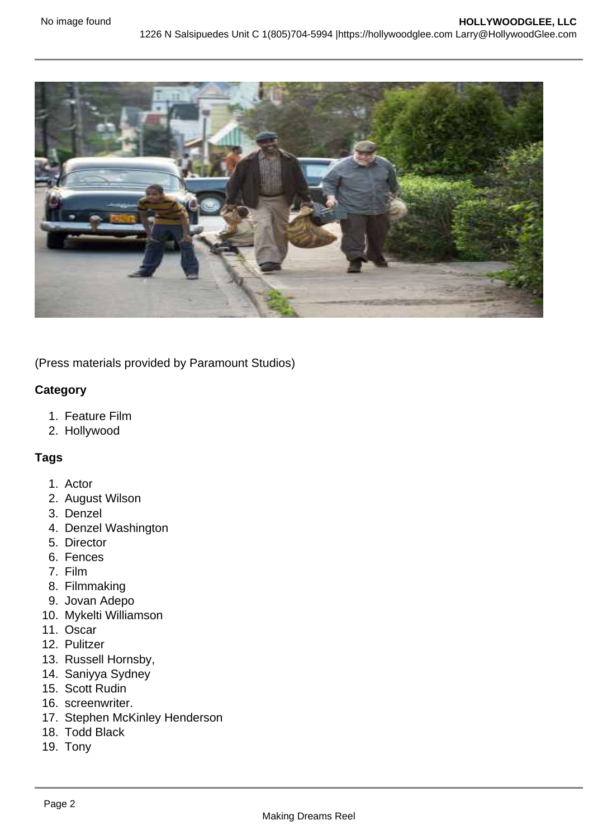

(Press materials provided by Paramount Studios)

## **Category**

- 1. Feature Film
- 2. Hollywood

# **Tags**

- 1. Actor
- 2. August Wilson
- 3. Denzel
- 4. Denzel Washington
- 5. Director
- 6. Fences
- 7. Film
- 8. Filmmaking
- 9. Jovan Adepo
- 10. Mykelti Williamson
- 11. Oscar
- 12. Pulitzer
- 13. Russell Hornsby,
- 14. Saniyya Sydney
- 15. Scott Rudin
- 16. screenwriter.
- 17. Stephen McKinley Henderson
- 18. Todd Black
- 19. Tony